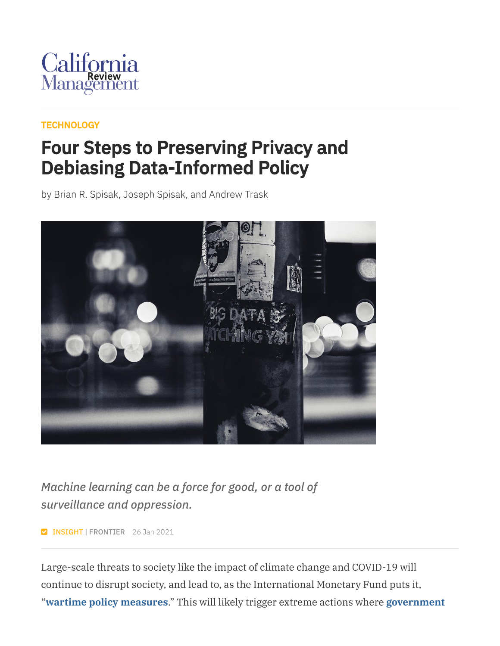

#### **[TECHNOLOGY](https://cmr.berkeley.edu/browse/topics/technology/)**

### Four Steps to Preserving Privacy and Debiasing Data-Informed Policy

by Brian R. Spisak, Joseph Spisak, and Andrew Trask



*Machine learning can be a force for good, or a tool of surveillance and oppression.*

**Z INSIGHT | FRONTIER** 26 Jan 2021

Large-scale threats to society like the impact of climate change and COVID-19 will continue to disrupt society, and lead to, as the International Monetary Fund puts it, "**wartime policy [measures](https://blogs.imf.org/2020/04/01/economic-policies-for-the-covid-19-war/)**." This will likely trigger extreme actions where **[government](https://www.nature.com/articles/s42256-020-0195-0)**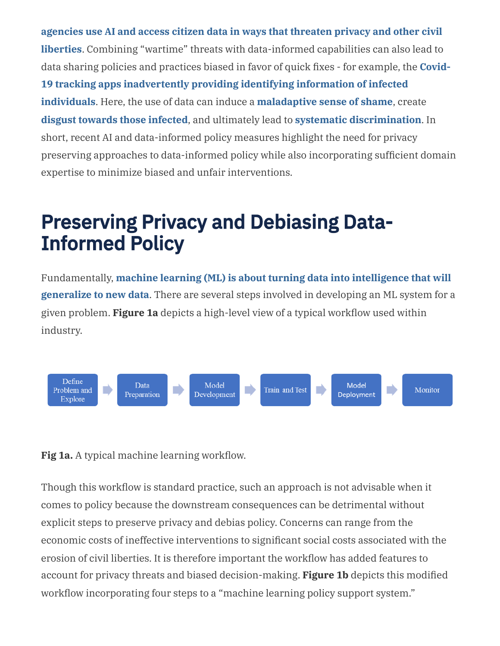**agencies use AI and access citizen data in ways that threaten privacy and other civil liberties**. Combining "wartime" threats with [data-informed](https://www.nature.com/articles/s42256-020-0195-0) capabilities can also lead to data sharing policies and practices biased in favor of quick fixes - for example, the **Covid-19 tracking apps [inadvertently](https://advances.sciencemag.org/content/6/23/eabc0764) providing identifying information of infected individuals**. Here, the use of data can induce a **[maladaptive](https://psycnet.apa.org/record/2011-00025-003) sense of shame**, create **disgust towards those [infected](https://science.sciencemag.org/content/359/6381/1213)**, and ultimately lead to **systematic [discrimination](https://www.thelancet.com/journals/lancet/article/PIIS0140-6736(06)68184-1/fulltext)**. In short, recent AI and data-informed policy measures highlight the need for privacy preserving approaches to data-informed policy while also incorporating sufficient domain expertise to minimize biased and unfair interventions.

## Preserving Privacy and Debiasing Data-Informed Policy

[Fundamentally,](https://science.sciencemag.org/content/349/6245/255) **machine learning (ML) is about turning data into intelligence that will generalize to new data**. There are several steps involved in developing an ML system for a given problem. **Figure 1a** depicts a high-level view of a typical workflow used within industry.



**Fig 1a.** A typical machine learning workflow.

Though this workflow is standard practice, such an approach is not advisable when it comes to policy because the downstream consequences can be detrimental without explicit steps to preserve privacy and debias policy. Concerns can range from the economic costs of ineffective interventions to significant social costs associated with the erosion of civil liberties. It is therefore important the workflow has added features to account for privacy threats and biased decision-making. **Figure 1b** depicts this modified workflow incorporating four steps to a "machine learning policy support system."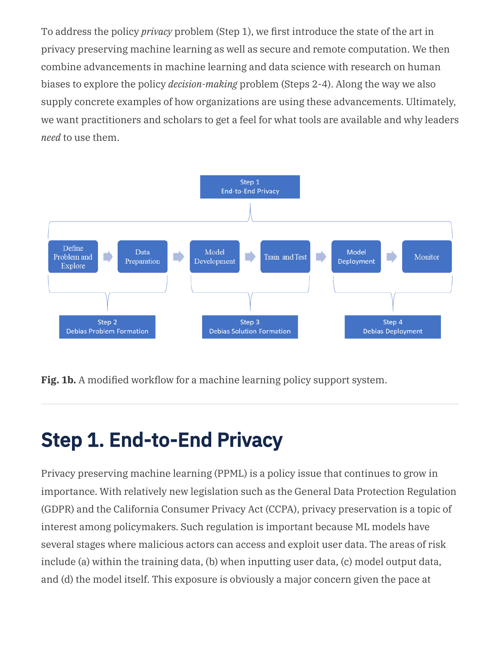To address the policy *privacy* problem (Step 1), we first introduce the state of the art in privacy preserving machine learning as well as secure and remote computation. We then combine advancements in machine learning and data science with research on human biases to explore the policy *decision-making* problem (Steps 2-4). Along the way we also supply concrete examples of how organizations are using these advancements. Ultimately, we want practitioners and scholars to get a feel for what tools are available and why leaders *need* to use them.



**Fig. 1b.** A modified workflow for a machine learning policy support system.

## Step 1. End-to-End Privacy

Privacy preserving machine learning (PPML) is a policy issue that continues to grow in importance. With relatively new legislation such as the General Data Protection Regulation (GDPR) and the California Consumer Privacy Act (CCPA), privacy preservation is a topic of interest among policymakers. Such regulation is important because ML models have several stages where malicious actors can access and exploit user data. The areas of risk include (a) within the training data, (b) when inputting user data, (c) model output data, and (d) the model itself. This exposure is obviously a major concern given the pace at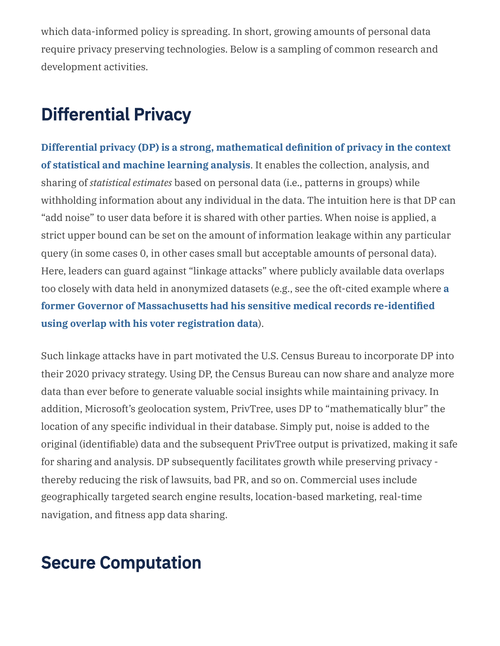which data-informed policy is spreading. In short, growing amounts of personal data require privacy preserving technologies. Below is a sampling of common research and development activities.

### Differential Privacy

**Differential privacy (DP) is a strong, [mathematical](http://proceedings.mlr.press/v83/nissim18a.html) definition of privacy in the context of statistical and machine learning analysis**. It enables the collection, analysis, and sharing of *statistical estimates* based on personal data (i.e., patterns in groups) while withholding information about any individual in the data. The intuition here is that DP can "add noise" to user data before it is shared with other parties. When noise is applied, a strict upper bound can be set on the amount of information leakage within any particular query (in some cases 0, in other cases small but acceptable amounts of personal data). Here, leaders can guard against "linkage attacks" where publicly available data overlaps too closely with data held in anonymized datasets (e.g., see the oft-cited example where **a former Governor of [Massachusetts](https://dl.acm.org/doi/10.1142/S0218488502001648) had his sensitive medical records re-identified using overlap with his voter registration data**).

Such linkage attacks have in part motivated the U.S. Census Bureau to incorporate DP into their 2020 privacy strategy. Using DP, the Census Bureau can now share and analyze more data than ever before to generate valuable social insights while maintaining privacy. In addition, Microsoft's geolocation system, PrivTree, uses DP to "mathematically blur" the location of any specific individual in their database. Simply put, noise is added to the original (identifiable) data and the subsequent PrivTree output is privatized, making it safe for sharing and analysis. DP subsequently facilitates growth while preserving privacy thereby reducing the risk of lawsuits, bad PR, and so on. Commercial uses include geographically targeted search engine results, location-based marketing, real-time navigation, and fitness app data sharing.

### Secure Computation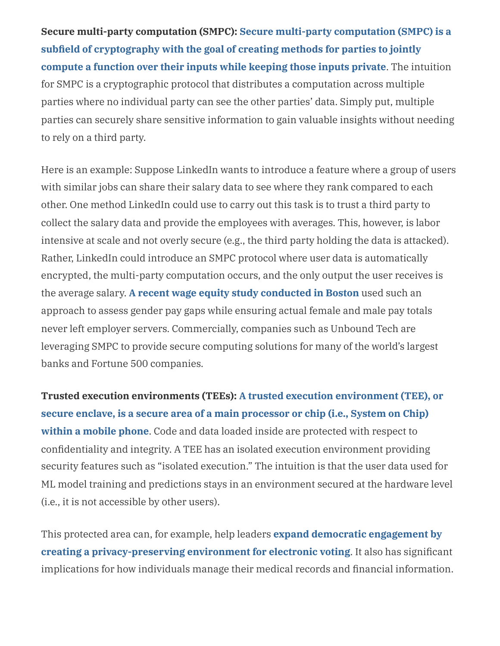**Secure multi-party computation (SMPC): Secure multi-party computation (SMPC) is a subfield of [cryptography](https://www.researchgate.net/profile/Oded_Goldreich/publication/2934115_Secure_Multi-Party_Computation/links/00b7d52bb04f7027d4000000.pdf) with the goal of creating methods for parties to jointly compute a function over their inputs while keeping those inputs private**. The intuition for SMPC is a cryptographic protocol that distributes a computation across multiple parties where no individual party can see the other parties' data. Simply put, multiple parties can securely share sensitive information to gain valuable insights without needing to rely on a third party.

Here is an example: Suppose LinkedIn wants to introduce a feature where a group of users with similar jobs can share their salary data to see where they rank compared to each other. One method LinkedIn could use to carry out this task is to trust a third party to collect the salary data and provide the employees with averages. This, however, is labor intensive at scale and not overly secure (e.g., the third party holding the data is attacked). Rather, LinkedIn could introduce an SMPC protocol where user data is automatically encrypted, the multi-party computation occurs, and the only output the user receives is the average salary. **A recent wage equity study [conducted](https://cacm.acm.org/magazines/2017/2/212427-user-centric-distributed-solutions-for-privacy-preserving-analytics/fulltext) in Boston** used such an approach to assess gender pay gaps while ensuring actual female and male pay totals never left employer servers. Commercially, companies such as Unbound Tech are leveraging SMPC to provide secure computing solutions for many of the world's largest banks and Fortune 500 companies.

**Trusted execution environments (TEEs): A trusted execution environment (TEE), or secure enclave, is a secure area of a main [processor or chip](https://ieeexplore.ieee.org/document/7345265) (i.e., System on Chip) within a mobile phone**. Code and data loaded inside are protected with respect to confidentiality and integrity. A TEE has an isolated execution environment providing security features such as "isolated execution." The intuition is that the user data used for ML model training and predictions stays in an environment secured at the hardware level (i.e., it is not accessible by other users).

This protected area can, for example, help leaders **expand democratic engagement by creating a [privacy-preserving](https://ieeexplore.ieee.org/document/9064387) environment for electronic voting**. It also has significant implications for how individuals manage their medical records and financial information.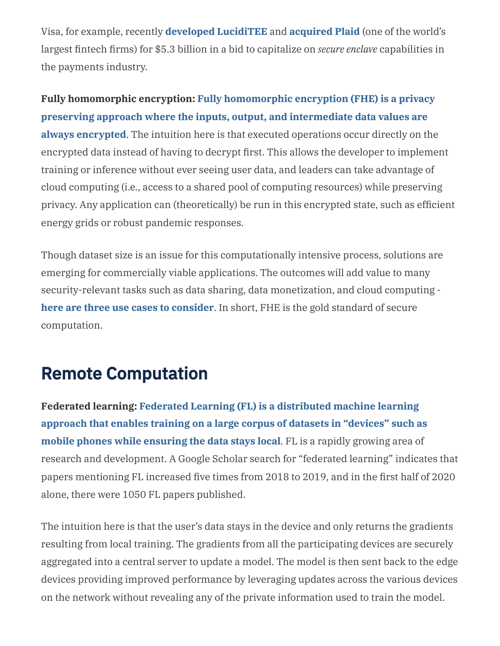Visa, for example, recently **developed [LucidiTEE](https://eprint.iacr.org/2019/178.pdf?mod=article_inline)** and **[acquired](https://www.americanbanker.com/news/visa-defends-plaid-deal-to-doj-asserting-datas-vital-new-role-in-payments) Plaid** (one of the world's largest fintech firms) for \$5.3 billion in a bid to capitalize on *secure enclave* capabilities in the payments industry.

**Fully homomorphic encryption: Fully [homomorphic](https://crypto.stanford.edu/craig/craig-thesis.pdf) encryption (FHE) is a privacy preserving approach where the inputs, output, and intermediate data values are always encrypted**. The intuition here is that executed operations occur directly on the encrypted data instead of having to decrypt first. This allows the developer to implement training or inference without ever seeing user data, and leaders can take advantage of cloud computing (i.e., access to a shared pool of computing resources) while preserving privacy. Any application can (theoretically) be run in this encrypted state, such as efficient energy grids or robust pandemic responses.

Though dataset size is an issue for this computationally intensive process, solutions are emerging for commercially viable applications. The outcomes will add value to many security-relevant tasks such as data sharing, data monetization, and cloud computing **here are three use cases to [consider](https://www.forbes.com/sites/forbestechcouncil/2020/08/10/practical-homomorphic-encryption-three-business-use-cases/?sh=7cc247fa2a46)**. In short, FHE is the gold standard of secure computation.

### Remote Computation

**Federated learning: Federated Learning (FL) is a [distributed](https://ai.googleblog.com/2017/04/federated-learning-collaborative.html) machine learning approach that enables training on a large corpus of datasets in "devices" such as mobile phones while ensuring the data stays local**. FL is a rapidly growing area of research and development. A Google Scholar search for "federated learning" indicates that papers mentioning FL increased five times from 2018 to 2019, and in the first half of 2020 alone, there were 1050 FL papers published.

The intuition here is that the user's data stays in the device and only returns the gradients resulting from local training. The gradients from all the participating devices are securely aggregated into a central server to update a model. The model is then sent back to the edge devices providing improved performance by leveraging updates across the various devices on the network without revealing any of the private information used to train the model.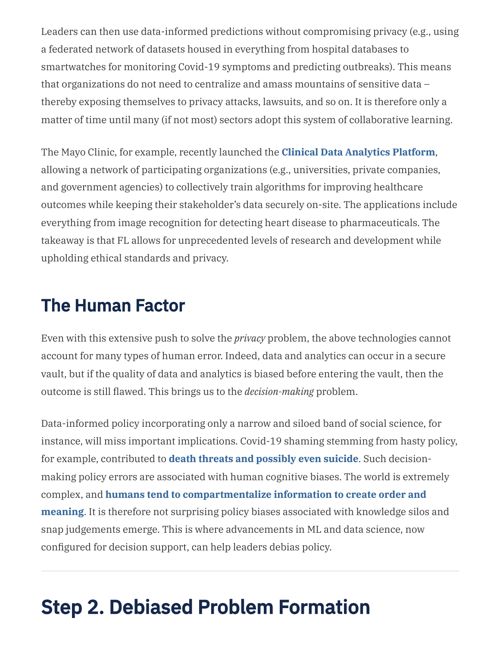Leaders can then use data-informed predictions without compromising privacy (e.g., using a federated network of datasets housed in everything from hospital databases to smartwatches for monitoring Covid-19 symptoms and predicting outbreaks). This means that organizations do not need to centralize and amass mountains of sensitive data – thereby exposing themselves to privacy attacks, lawsuits, and so on. It is therefore only a matter of time until many (if not most) sectors adopt this system of collaborative learning.

The Mayo Clinic, for example, recently launched the **Clinical Data [Analytics](https://www.statnews.com/2020/02/13/federated-learning-safer-collaboration-health-research/) Platform**, allowing a network of participating organizations (e.g., universities, private companies, and government agencies) to collectively train algorithms for improving healthcare outcomes while keeping their stakeholder's data securely on-site. The applications include everything from image recognition for detecting heart disease to pharmaceuticals. The takeaway is that FL allows for unprecedented levels of research and development while upholding ethical standards and privacy.

#### The Human Factor

Even with this extensive push to solve the *privacy* problem, the above technologies cannot account for many types of human error. Indeed, data and analytics can occur in a secure vault, but if the quality of data and analytics is biased before entering the vault, then the outcome is still flawed. This brings us to the *decision-making* problem.

Data-informed policy incorporating only a narrow and siloed band of social science, for instance, will miss important implications. Covid-19 shaming stemming from hasty policy, for example, contributed to **death threats and [possibly](https://www.theguardian.com/science/2020/apr/04/pandemic-shaming-is-it-helping-us-keep-our-distance) even suicide**. Such decisionmaking policy errors are associated with human cognitive biases. The world is extremely complex, and **humans tend to [compartmentalize](https://science.sciencemag.org/content/185/4157/1124) information to create order and meaning**. It is therefore not surprising policy biases associated with knowledge silos and snap judgements emerge. This is where advancements in ML and data science, now configured for decision support, can help leaders debias policy.

## Step 2. Debiased Problem Formation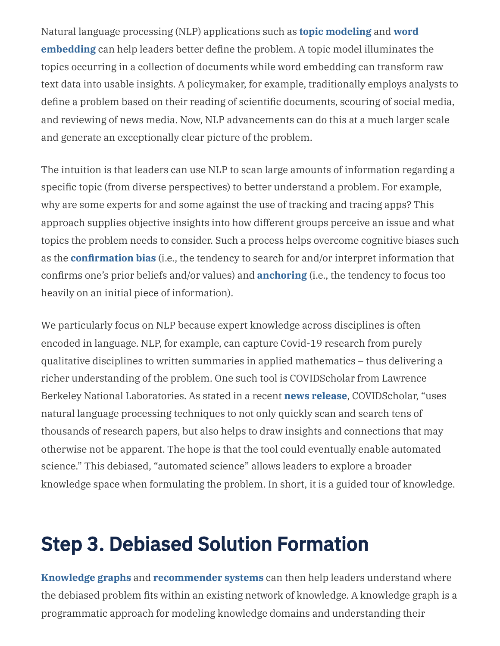Natural language processing (NLP) [applications](https://arxiv.org/pdf/1301.3781.pdf) such as **topic [modeling](https://dl.acm.org/doi/10.1145/1143844.1143967)** and **word embedding** can help leaders better define the problem. A topic model illuminates the topics occurring in a collection of documents while word embedding can transform raw text data into usable insights. A policymaker, for example, traditionally employs analysts to define a problem based on their reading of scientific documents, scouring of social media, and reviewing of news media. Now, NLP advancements can do this at a much larger scale and generate an exceptionally clear picture of the problem.

The intuition is that leaders can use NLP to scan large amounts of information regarding a specific topic (from diverse perspectives) to better understand a problem. For example, why are some experts for and some against the use of tracking and tracing apps? This approach supplies objective insights into how different groups perceive an issue and what topics the problem needs to consider. Such a process helps overcome cognitive biases such as the **[confirmation](https://www.cebma.org/wp-content/uploads/Kahneman-et-al-2001-Before-you-make-that-big-decision-60781382.pdf) bias** (i.e., the tendency to search for and/or interpret information that confirms one's prior beliefs and/or values) and **[anchoring](https://www.cebma.org/wp-content/uploads/Kahneman-et-al-2001-Before-you-make-that-big-decision-60781382.pdf)** (i.e., the tendency to focus too heavily on an initial piece of information).

We particularly focus on NLP because expert knowledge across disciplines is often encoded in language. NLP, for example, can capture Covid-19 research from purely qualitative disciplines to written summaries in applied mathematics – thus delivering a richer understanding of the problem. One such tool is COVIDScholar from Lawrence Berkeley National Laboratories. As stated in a recent **news [release](https://newscenter.lbl.gov/2020/04/28/machine-learning-tool-could-provide-unexpected-scientific-insights-into-covid-19/)**, COVIDScholar, "uses natural language processing techniques to not only quickly scan and search tens of thousands of research papers, but also helps to draw insights and connections that may otherwise not be apparent. The hope is that the tool could eventually enable automated science." This debiased, "automated science" allows leaders to explore a broader knowledge space when formulating the problem. In short, it is a guided tour of knowledge.

## Step 3. Debiased Solution Formation

**[Knowledge](http://semantic-web-journal.net/system/files/swj1167.pdf) graphs** and **[recommender](https://dl.acm.org/doi/book/10.5555/1941904) systems** can then help leaders understand where the debiased problem fits within an existing network of knowledge. A knowledge graph is a programmatic approach for modeling knowledge domains and understanding their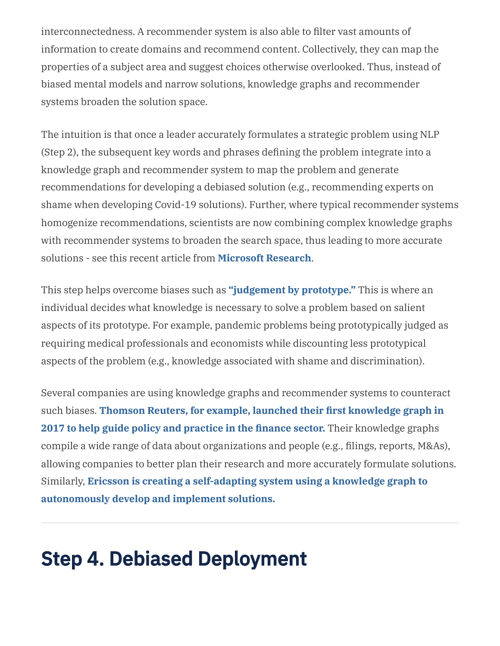interconnectedness. A recommender system is also able to filter vast amounts of information to create domains and recommend content. Collectively, they can map the properties of a subject area and suggest choices otherwise overlooked. Thus, instead of biased mental models and narrow solutions, knowledge graphs and recommender systems broaden the solution space.

The intuition is that once a leader accurately formulates a strategic problem using NLP (Step 2), the subsequent key words and phrases defining the problem integrate into a knowledge graph and recommender system to map the problem and generate recommendations for developing a debiased solution (e.g., recommending experts on shame when developing Covid-19 solutions). Further, where typical recommender systems homogenize recommendations, scientists are now combining complex knowledge graphs with recommender systems to broaden the search space, thus leading to more accurate solutions - see this recent article from **[Microsoft](https://www.microsoft.com/en-us/research/lab/microsoft-research-asia/articles/personalized-recommendation-systems/) Research**.

This step helps overcome biases such as **["judgement](https://psycnet.apa.org/record/2000-13979-002) by prototype."** This is where an individual decides what knowledge is necessary to solve a problem based on salient aspects of its prototype. For example, pandemic problems being prototypically judged as requiring medical professionals and economists while discounting less prototypical aspects of the problem (e.g., knowledge associated with shame and discrimination).

Several companies are using knowledge graphs and recommender systems to counteract such biases. **Thomson Reuters, for example, launched their first [knowledge](https://www.thomsonreuters.com/en/press-releases/2017/october/thomson-reuters-launches-first-of-its-kind-knowledge-graph-feed.html) graph in 2017 to help guide policy and practice in the finance sector.** Their knowledge graphs compile a wide range of data about organizations and people (e.g., filings, reports, M&As), allowing companies to better plan their research and more accurately formulate solutions. Similarly, **Ericsson is creating a self-adapting system using a knowledge graph to [autonomously](https://www.ericsson.com/en/reports-and-papers/ericsson-technology-review/articles/adaptive-intent-based-networking) develop and implement solutions.**

## Step 4. Debiased Deployment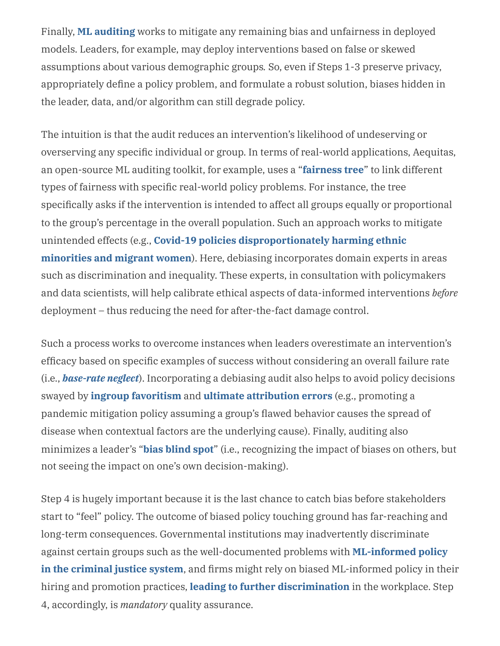Finally, **ML [auditing](https://hbr.org/2018/11/why-we-need-to-audit-algorithms)** works to mitigate any remaining bias and unfairness in deployed models. Leaders, for example, may deploy interventions based on false or skewed assumptions about various demographic groups*.* So, even if Steps 1-3 preserve privacy, appropriately define a policy problem, and formulate a robust solution, biases hidden in the leader, data, and/or algorithm can still degrade policy.

The intuition is that the audit reduces an intervention's likelihood of undeserving or overserving any specific individual or group. In terms of real-world applications, Aequitas, an open-source ML auditing toolkit, for example, uses a "**[fairness](https://arxiv.org/abs/1811.05577) tree**" to link different types of fairness with specific real-world policy problems. For instance, the tree specifically asks if the intervention is intended to affect all groups equally or proportional to the group's percentage in the overall population. Such an approach works to mitigate unintended effects (e.g., **Covid-19 policies [disproportionately](https://www.eurekalert.org/pub_releases/2020-11/cul-cai112720.php) harming ethnic minorities and migrant women**). Here, debiasing incorporates domain experts in areas such as discrimination and inequality. These experts, in consultation with policymakers and data scientists, will help calibrate ethical aspects of data-informed interventions *before* deployment – thus reducing the need for after-the-fact damage control.

Such a process works to overcome instances when leaders overestimate an intervention's efficacy based on specific examples of success without considering an overall failure rate (i.e., *[base-rate](https://psycnet.apa.org/record/2014-38928-002) neglect*). Incorporating a debiasing audit also helps to avoid policy decisions swayed by **ingroup [favoritism](https://science.sciencemag.org/content/321/5897/1844#:~:text=Little%20is%20known%2C%20however%2C%20about,group%20affiliation%20and%20ingroup%20favoritism.&text=The%20resulting%20social%20environment%20includes,accordingly%20show%20strong%20ingroup%20favoritism.)** and **ultimate [attribution](https://psycnet.apa.org/record/1981-05426-001) errors** (e.g., promoting a pandemic mitigation policy assuming a group's flawed behavior causes the spread of disease when contextual factors are the underlying cause). Finally, auditing also minimizes a leader's "**bias [blind](https://psycnet.apa.org/record/2002-10937-008) spot**" (i.e., recognizing the impact of biases on others, but not seeing the impact on one's own decision-making).

Step 4 is hugely important because it is the last chance to catch bias before stakeholders start to "feel" policy. The outcome of biased policy touching ground has far-reaching and long-term consequences. Governmental institutions may inadvertently discriminate against certain groups such as the [well-documented](https://www.nature.com/articles/s41599-020-0501-9) problems with **ML-informed policy in the criminal justice system**, and firms might rely on biased ML-informed policy in their hiring and promotion practices, **leading to further [discrimination](https://hbr.org/2019/05/all-the-ways-hiring-algorithms-can-introduce-bias)** in the workplace. Step 4, accordingly, is *mandatory* quality assurance.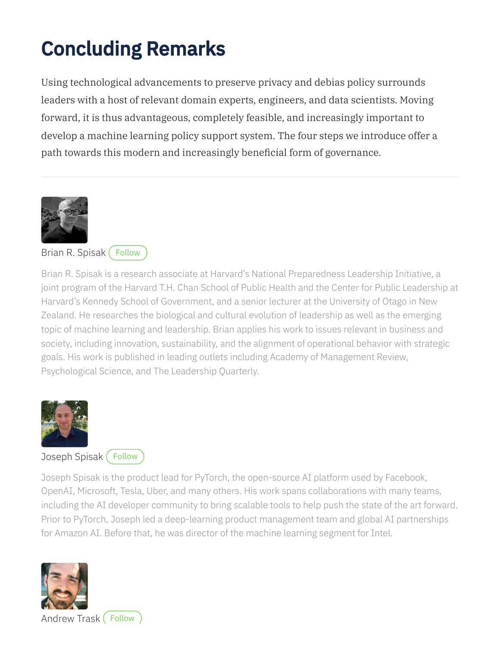# Concluding Remarks

Using technological advancements to preserve privacy and debias policy surrounds leaders with a host of relevant domain experts, engineers, and data scientists. Moving forward, it is thus advantageous, completely feasible, and increasingly important to develop a machine learning policy support system. The four steps we introduce offer a path towards this modern and increasingly beneficial form of governance.



#### Brian R. [Spisak](https://www.otago.ac.nz/management/staff/people/otago631636.html) ([Follow](https://www.nz.linkedin.com/in/brian-r-spisak/)

Brian R. Spisak is a research associate at Harvard's National Preparedness Leadership Initiative, a joint program of the Harvard T.H. Chan School of Public Health and the Center for Public Leadership at Harvard's Kennedy School of Government, and a senior lecturer at the University of Otago in New Zealand. He researches the biological and cultural evolution of leadership as well as the emerging topic of machine learning and leadership. Brian applies his work to issues relevant in business and society, including innovation, sustainability, and the alignment of operational behavior with strategic goals. His work is published in leading outlets including Academy of Management Review, Psychological Science, and The Leadership Quarterly.



#### [Joseph](https://pytorch.org/) Spisak ([Follow](https://www.linkedin.com/in/jspisak/)

Joseph Spisak is the product lead for PyTorch, the open-source AI platform used by Facebook, OpenAI, Microsoft, Tesla, Uber, and many others. His work spans collaborations with many teams, including the AI developer community to bring scalable tools to help push the state of the art forward. Prior to PyTorch, Joseph led a deep-learning product management team and global AI partnerships for Amazon AI. Before that, he was director of the machine learning segment for Intel.